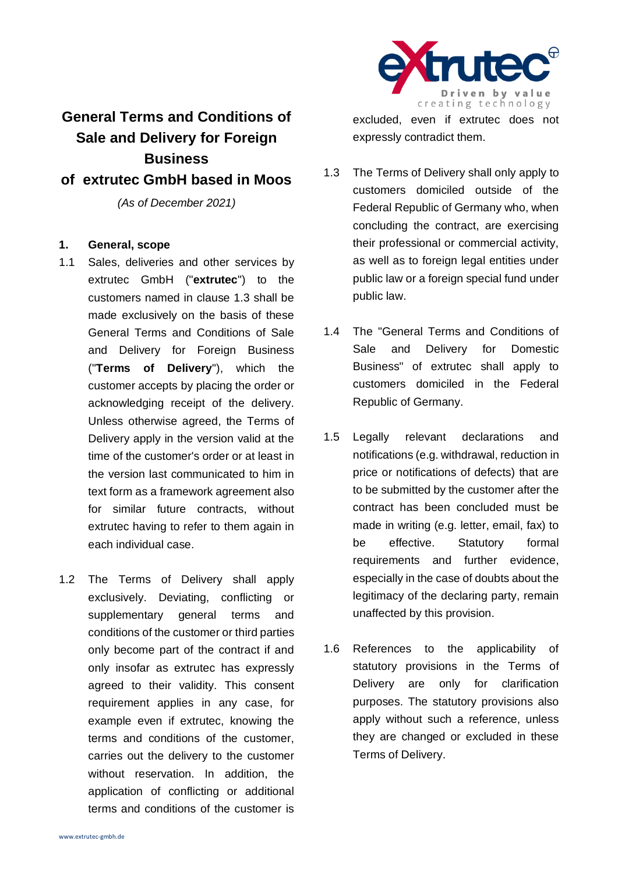

# **General Terms and Conditions of Sale and Delivery for Foreign Business of extrutec GmbH based in Moos**

*(As of December 2021)*

## **1. General, scope**

- 1.1 Sales, deliveries and other services by extrutec GmbH ("**extrutec**") to the customers named in clause 1.3 shall be made exclusively on the basis of these General Terms and Conditions of Sale and Delivery for Foreign Business ("**Terms of Delivery**"), which the customer accepts by placing the order or acknowledging receipt of the delivery. Unless otherwise agreed, the Terms of Delivery apply in the version valid at the time of the customer's order or at least in the version last communicated to him in text form as a framework agreement also for similar future contracts, without extrutec having to refer to them again in each individual case.
- 1.2 The Terms of Delivery shall apply exclusively. Deviating, conflicting or supplementary general terms and conditions of the customer or third parties only become part of the contract if and only insofar as extrutec has expressly agreed to their validity. This consent requirement applies in any case, for example even if extrutec, knowing the terms and conditions of the customer, carries out the delivery to the customer without reservation. In addition, the application of conflicting or additional terms and conditions of the customer is

excluded, even if extrutec does not expressly contradict them.

- 1.3 The Terms of Delivery shall only apply to customers domiciled outside of the Federal Republic of Germany who, when concluding the contract, are exercising their professional or commercial activity, as well as to foreign legal entities under public law or a foreign special fund under public law.
- 1.4 The "General Terms and Conditions of Sale and Delivery for Domestic Business" of extrutec shall apply to customers domiciled in the Federal Republic of Germany.
- 1.5 Legally relevant declarations and notifications (e.g. withdrawal, reduction in price or notifications of defects) that are to be submitted by the customer after the contract has been concluded must be made in writing (e.g. letter, email, fax) to be effective. Statutory formal requirements and further evidence, especially in the case of doubts about the legitimacy of the declaring party, remain unaffected by this provision.
- 1.6 References to the applicability of statutory provisions in the Terms of Delivery are only for clarification purposes. The statutory provisions also apply without such a reference, unless they are changed or excluded in these Terms of Delivery.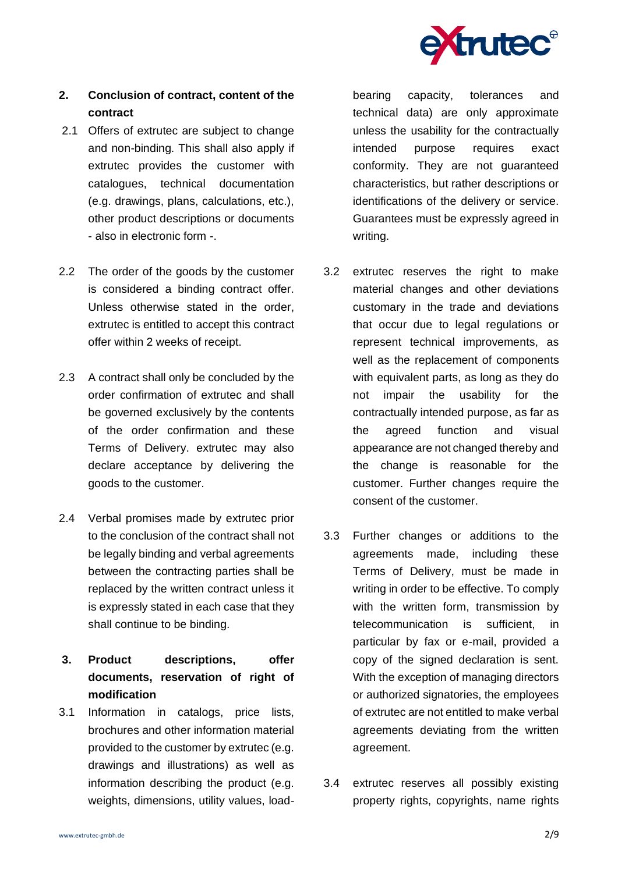

## **2. Conclusion of contract, content of the contract**

- 2.1 Offers of extrutec are subject to change and non-binding. This shall also apply if extrutec provides the customer with catalogues, technical documentation (e.g. drawings, plans, calculations, etc.), other product descriptions or documents - also in electronic form -.
- 2.2 The order of the goods by the customer is considered a binding contract offer. Unless otherwise stated in the order, extrutec is entitled to accept this contract offer within 2 weeks of receipt.
- 2.3 A contract shall only be concluded by the order confirmation of extrutec and shall be governed exclusively by the contents of the order confirmation and these Terms of Delivery. extrutec may also declare acceptance by delivering the goods to the customer.
- 2.4 Verbal promises made by extrutec prior to the conclusion of the contract shall not be legally binding and verbal agreements between the contracting parties shall be replaced by the written contract unless it is expressly stated in each case that they shall continue to be binding.
- **3. Product descriptions, offer documents, reservation of right of modification**
- 3.1 Information in catalogs, price lists, brochures and other information material provided to the customer by extrutec (e.g. drawings and illustrations) as well as information describing the product (e.g. weights, dimensions, utility values, load-

bearing capacity, tolerances and technical data) are only approximate unless the usability for the contractually intended purpose requires exact conformity. They are not guaranteed characteristics, but rather descriptions or identifications of the delivery or service. Guarantees must be expressly agreed in writing.

- 3.2 extrutec reserves the right to make material changes and other deviations customary in the trade and deviations that occur due to legal regulations or represent technical improvements, as well as the replacement of components with equivalent parts, as long as they do not impair the usability for the contractually intended purpose, as far as the agreed function and visual appearance are not changed thereby and the change is reasonable for the customer. Further changes require the consent of the customer.
- 3.3 Further changes or additions to the agreements made, including these Terms of Delivery, must be made in writing in order to be effective. To comply with the written form, transmission by telecommunication is sufficient, in particular by fax or e-mail, provided a copy of the signed declaration is sent. With the exception of managing directors or authorized signatories, the employees of extrutec are not entitled to make verbal agreements deviating from the written agreement.
- 3.4 extrutec reserves all possibly existing property rights, copyrights, name rights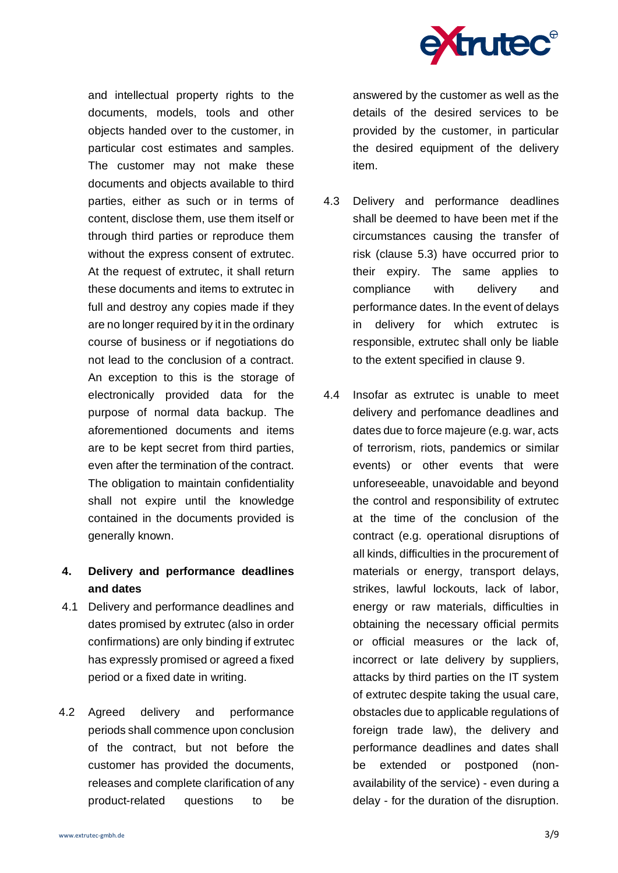

and intellectual property rights to the documents, models, tools and other objects handed over to the customer, in particular cost estimates and samples. The customer may not make these documents and objects available to third parties, either as such or in terms of content, disclose them, use them itself or through third parties or reproduce them without the express consent of extrutec. At the request of extrutec, it shall return these documents and items to extrutec in full and destroy any copies made if they are no longer required by it in the ordinary course of business or if negotiations do not lead to the conclusion of a contract. An exception to this is the storage of electronically provided data for the purpose of normal data backup. The aforementioned documents and items are to be kept secret from third parties, even after the termination of the contract. The obligation to maintain confidentiality shall not expire until the knowledge contained in the documents provided is generally known.

# **4. Delivery and performance deadlines and dates**

- 4.1 Delivery and performance deadlines and dates promised by extrutec (also in order confirmations) are only binding if extrutec has expressly promised or agreed a fixed period or a fixed date in writing.
- 4.2 Agreed delivery and performance periods shall commence upon conclusion of the contract, but not before the customer has provided the documents, releases and complete clarification of any product-related questions to be

answered by the customer as well as the details of the desired services to be provided by the customer, in particular the desired equipment of the delivery item.

- 4.3 Delivery and performance deadlines shall be deemed to have been met if the circumstances causing the transfer of risk (clause 5.3) have occurred prior to their expiry. The same applies to compliance with delivery and performance dates. In the event of delays in delivery for which extrutec is responsible, extrutec shall only be liable to the extent specified in clause 9.
- 4.4 Insofar as extrutec is unable to meet delivery and perfomance deadlines and dates due to force majeure (e.g. war, acts of terrorism, riots, pandemics or similar events) or other events that were unforeseeable, unavoidable and beyond the control and responsibility of extrutec at the time of the conclusion of the contract (e.g. operational disruptions of all kinds, difficulties in the procurement of materials or energy, transport delays, strikes, lawful lockouts, lack of labor, energy or raw materials, difficulties in obtaining the necessary official permits or official measures or the lack of, incorrect or late delivery by suppliers, attacks by third parties on the IT system of extrutec despite taking the usual care, obstacles due to applicable regulations of foreign trade law), the delivery and performance deadlines and dates shall be extended or postponed (nonavailability of the service) - even during a delay - for the duration of the disruption.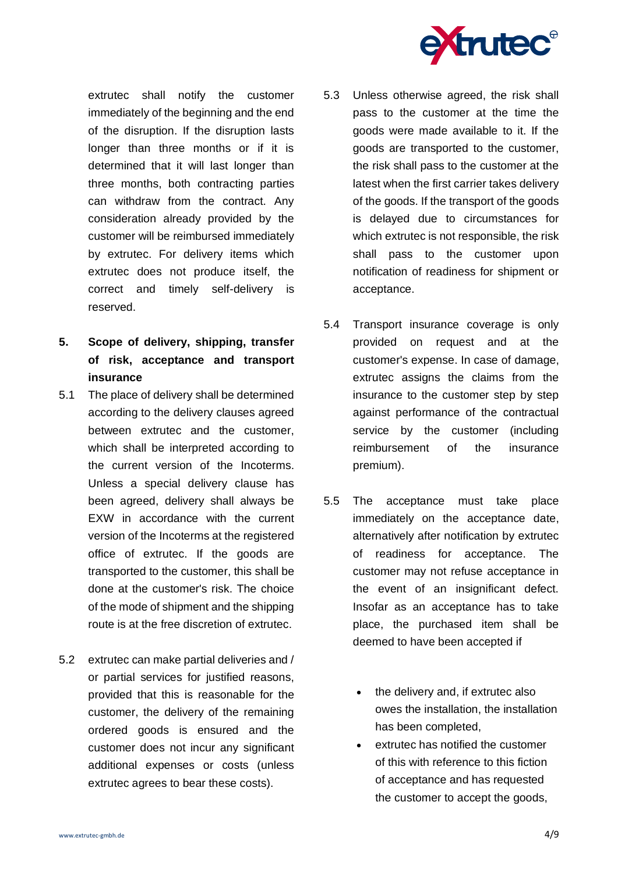

extrutec shall notify the customer immediately of the beginning and the end of the disruption. If the disruption lasts longer than three months or if it is determined that it will last longer than three months, both contracting parties can withdraw from the contract. Any consideration already provided by the customer will be reimbursed immediately by extrutec. For delivery items which extrutec does not produce itself, the correct and timely self-delivery is reserved.

- **5. Scope of delivery, shipping, transfer of risk, acceptance and transport insurance**
- 5.1 The place of delivery shall be determined according to the delivery clauses agreed between extrutec and the customer, which shall be interpreted according to the current version of the Incoterms. Unless a special delivery clause has been agreed, delivery shall always be EXW in accordance with the current version of the Incoterms at the registered office of extrutec. If the goods are transported to the customer, this shall be done at the customer's risk. The choice of the mode of shipment and the shipping route is at the free discretion of extrutec.
- 5.2 extrutec can make partial deliveries and / or partial services for justified reasons, provided that this is reasonable for the customer, the delivery of the remaining ordered goods is ensured and the customer does not incur any significant additional expenses or costs (unless extrutec agrees to bear these costs).
- 5.3 Unless otherwise agreed, the risk shall pass to the customer at the time the goods were made available to it. If the goods are transported to the customer, the risk shall pass to the customer at the latest when the first carrier takes delivery of the goods. If the transport of the goods is delayed due to circumstances for which extrutec is not responsible, the risk shall pass to the customer upon notification of readiness for shipment or acceptance.
- 5.4 Transport insurance coverage is only provided on request and at the customer's expense. In case of damage, extrutec assigns the claims from the insurance to the customer step by step against performance of the contractual service by the customer (including reimbursement of the insurance premium).
- 5.5 The acceptance must take place immediately on the acceptance date, alternatively after notification by extrutec of readiness for acceptance. The customer may not refuse acceptance in the event of an insignificant defect. Insofar as an acceptance has to take place, the purchased item shall be deemed to have been accepted if
	- the delivery and, if extrutec also owes the installation, the installation has been completed,
	- extrutec has notified the customer of this with reference to this fiction of acceptance and has requested the customer to accept the goods,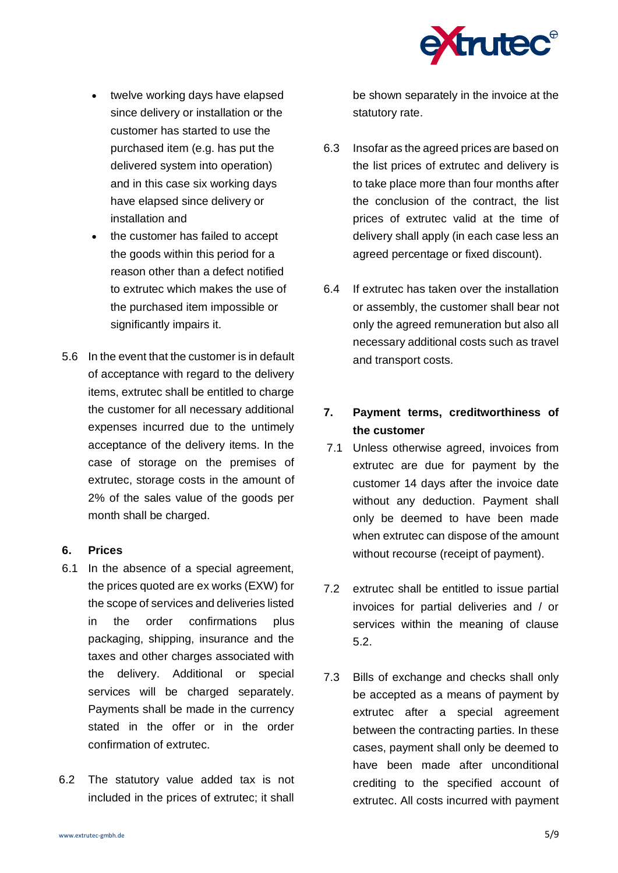

- twelve working days have elapsed since delivery or installation or the customer has started to use the purchased item (e.g. has put the delivered system into operation) and in this case six working days have elapsed since delivery or installation and
- the customer has failed to accept the goods within this period for a reason other than a defect notified to extrutec which makes the use of the purchased item impossible or significantly impairs it.
- 5.6 In the event that the customer is in default of acceptance with regard to the delivery items, extrutec shall be entitled to charge the customer for all necessary additional expenses incurred due to the untimely acceptance of the delivery items. In the case of storage on the premises of extrutec, storage costs in the amount of 2% of the sales value of the goods per month shall be charged.

#### **6. Prices**

- 6.1 In the absence of a special agreement, the prices quoted are ex works (EXW) for the scope of services and deliveries listed in the order confirmations plus packaging, shipping, insurance and the taxes and other charges associated with the delivery. Additional or special services will be charged separately. Payments shall be made in the currency stated in the offer or in the order confirmation of extrutec.
- 6.2 The statutory value added tax is not included in the prices of extrutec; it shall

be shown separately in the invoice at the statutory rate.

- 6.3 Insofar as the agreed prices are based on the list prices of extrutec and delivery is to take place more than four months after the conclusion of the contract, the list prices of extrutec valid at the time of delivery shall apply (in each case less an agreed percentage or fixed discount).
- 6.4 If extrutec has taken over the installation or assembly, the customer shall bear not only the agreed remuneration but also all necessary additional costs such as travel and transport costs.

# **7. Payment terms, creditworthiness of the customer**

- 7.1 Unless otherwise agreed, invoices from extrutec are due for payment by the customer 14 days after the invoice date without any deduction. Payment shall only be deemed to have been made when extrutec can dispose of the amount without recourse (receipt of payment).
- 7.2 extrutec shall be entitled to issue partial invoices for partial deliveries and / or services within the meaning of clause 5.2.
- 7.3 Bills of exchange and checks shall only be accepted as a means of payment by extrutec after a special agreement between the contracting parties. In these cases, payment shall only be deemed to have been made after unconditional crediting to the specified account of extrutec. All costs incurred with payment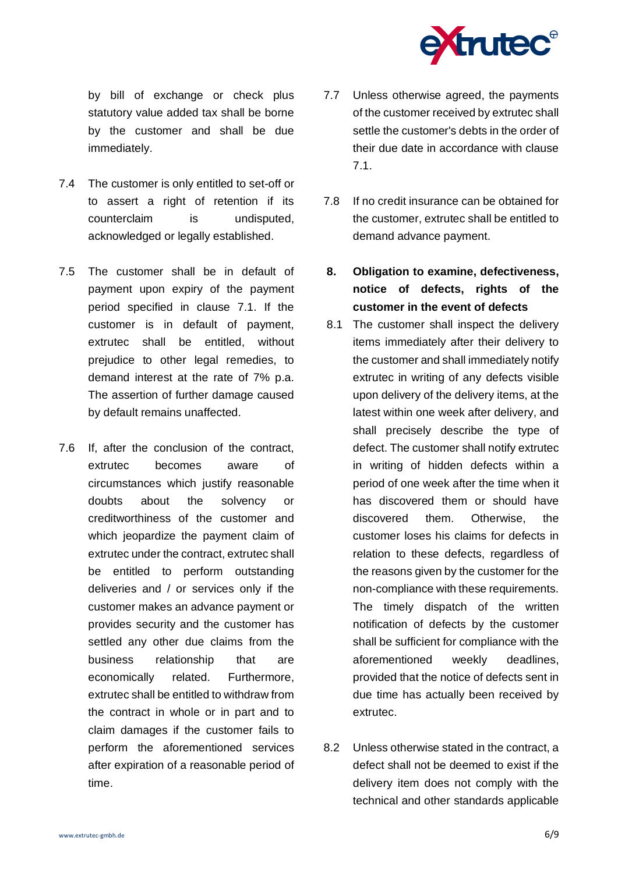

by bill of exchange or check plus statutory value added tax shall be borne by the customer and shall be due immediately.

- 7.4 The customer is only entitled to set-off or to assert a right of retention if its counterclaim is undisputed, acknowledged or legally established.
- 7.5 The customer shall be in default of payment upon expiry of the payment period specified in clause 7.1. If the customer is in default of payment, extrutec shall be entitled, without prejudice to other legal remedies, to demand interest at the rate of 7% p.a. The assertion of further damage caused by default remains unaffected.
- 7.6 If, after the conclusion of the contract, extrutec becomes aware of circumstances which justify reasonable doubts about the solvency or creditworthiness of the customer and which jeopardize the payment claim of extrutec under the contract, extrutec shall be entitled to perform outstanding deliveries and / or services only if the customer makes an advance payment or provides security and the customer has settled any other due claims from the business relationship that are economically related. Furthermore, extrutec shall be entitled to withdraw from the contract in whole or in part and to claim damages if the customer fails to perform the aforementioned services after expiration of a reasonable period of time.
- 7.7 Unless otherwise agreed, the payments of the customer received by extrutec shall settle the customer's debts in the order of their due date in accordance with clause 7.1.
- 7.8 If no credit insurance can be obtained for the customer, extrutec shall be entitled to demand advance payment.
- **8. Obligation to examine, defectiveness, notice of defects, rights of the customer in the event of defects**
- 8.1 The customer shall inspect the delivery items immediately after their delivery to the customer and shall immediately notify extrutec in writing of any defects visible upon delivery of the delivery items, at the latest within one week after delivery, and shall precisely describe the type of defect. The customer shall notify extrutec in writing of hidden defects within a period of one week after the time when it has discovered them or should have discovered them. Otherwise, the customer loses his claims for defects in relation to these defects, regardless of the reasons given by the customer for the non-compliance with these requirements. The timely dispatch of the written notification of defects by the customer shall be sufficient for compliance with the aforementioned weekly deadlines, provided that the notice of defects sent in due time has actually been received by extrutec.
- 8.2 Unless otherwise stated in the contract, a defect shall not be deemed to exist if the delivery item does not comply with the technical and other standards applicable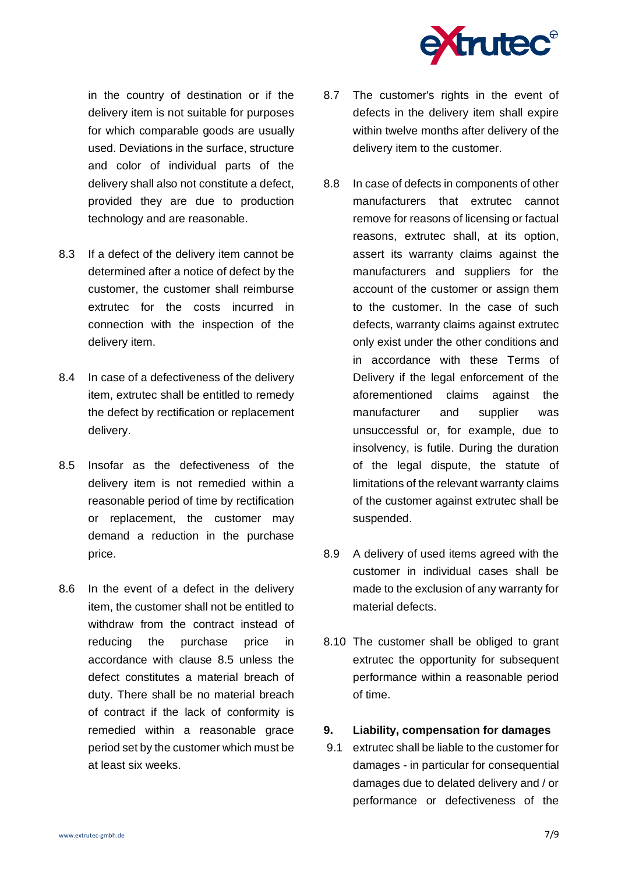

in the country of destination or if the delivery item is not suitable for purposes for which comparable goods are usually used. Deviations in the surface, structure and color of individual parts of the delivery shall also not constitute a defect, provided they are due to production technology and are reasonable.

- 8.3 If a defect of the delivery item cannot be determined after a notice of defect by the customer, the customer shall reimburse extrutec for the costs incurred in connection with the inspection of the delivery item.
- 8.4 In case of a defectiveness of the delivery item, extrutec shall be entitled to remedy the defect by rectification or replacement delivery.
- 8.5 Insofar as the defectiveness of the delivery item is not remedied within a reasonable period of time by rectification or replacement, the customer may demand a reduction in the purchase price.
- 8.6 In the event of a defect in the delivery item, the customer shall not be entitled to withdraw from the contract instead of reducing the purchase price in accordance with clause 8.5 unless the defect constitutes a material breach of duty. There shall be no material breach of contract if the lack of conformity is remedied within a reasonable grace period set by the customer which must be at least six weeks.
- 8.7 The customer's rights in the event of defects in the delivery item shall expire within twelve months after delivery of the delivery item to the customer.
- 8.8 In case of defects in components of other manufacturers that extrutec cannot remove for reasons of licensing or factual reasons, extrutec shall, at its option, assert its warranty claims against the manufacturers and suppliers for the account of the customer or assign them to the customer. In the case of such defects, warranty claims against extrutec only exist under the other conditions and in accordance with these Terms of Delivery if the legal enforcement of the aforementioned claims against the manufacturer and supplier was unsuccessful or, for example, due to insolvency, is futile. During the duration of the legal dispute, the statute of limitations of the relevant warranty claims of the customer against extrutec shall be suspended.
- 8.9 A delivery of used items agreed with the customer in individual cases shall be made to the exclusion of any warranty for material defects.
- 8.10 The customer shall be obliged to grant extrutec the opportunity for subsequent performance within a reasonable period of time.

## **9. Liability, compensation for damages**

9.1 extrutec shall be liable to the customer for damages - in particular for consequential damages due to delated delivery and / or performance or defectiveness of the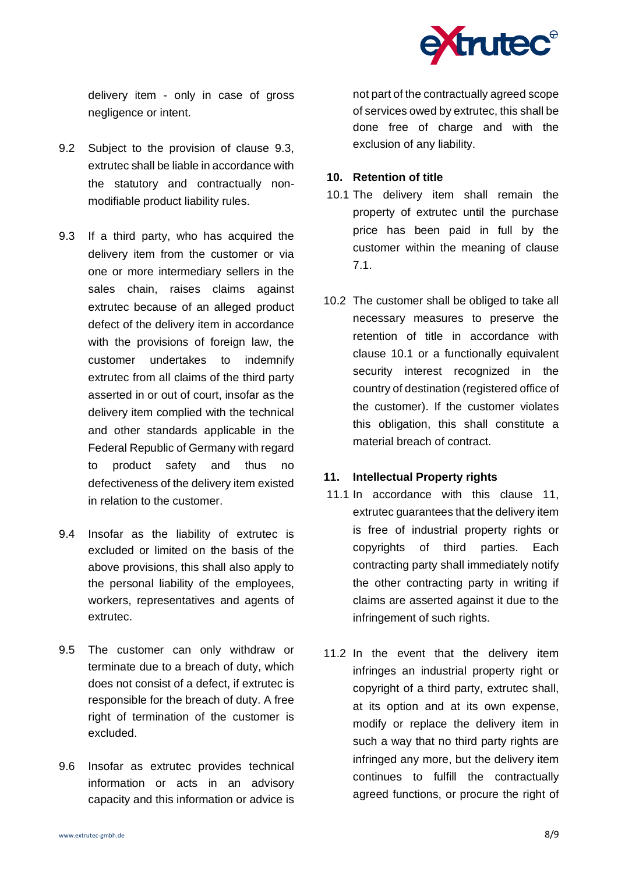

delivery item - only in case of gross negligence or intent.

- 9.2 Subject to the provision of clause 9.3, extrutec shall be liable in accordance with the statutory and contractually nonmodifiable product liability rules.
- 9.3 If a third party, who has acquired the delivery item from the customer or via one or more intermediary sellers in the sales chain, raises claims against extrutec because of an alleged product defect of the delivery item in accordance with the provisions of foreign law, the customer undertakes to indemnify extrutec from all claims of the third party asserted in or out of court, insofar as the delivery item complied with the technical and other standards applicable in the Federal Republic of Germany with regard to product safety and thus no defectiveness of the delivery item existed in relation to the customer.
- 9.4 Insofar as the liability of extrutec is excluded or limited on the basis of the above provisions, this shall also apply to the personal liability of the employees, workers, representatives and agents of extrutec.
- 9.5 The customer can only withdraw or terminate due to a breach of duty, which does not consist of a defect, if extrutec is responsible for the breach of duty. A free right of termination of the customer is excluded.
- 9.6 Insofar as extrutec provides technical information or acts in an advisory capacity and this information or advice is

not part of the contractually agreed scope of services owed by extrutec, this shall be done free of charge and with the exclusion of any liability.

#### **10. Retention of title**

- 10.1 The delivery item shall remain the property of extrutec until the purchase price has been paid in full by the customer within the meaning of clause 7.1.
- 10.2 The customer shall be obliged to take all necessary measures to preserve the retention of title in accordance with clause 10.1 or a functionally equivalent security interest recognized in the country of destination (registered office of the customer). If the customer violates this obligation, this shall constitute a material breach of contract.

## **11. Intellectual Property rights**

- 11.1 In accordance with this clause 11, extrutec guarantees that the delivery item is free of industrial property rights or copyrights of third parties. Each contracting party shall immediately notify the other contracting party in writing if claims are asserted against it due to the infringement of such rights.
- 11.2 In the event that the delivery item infringes an industrial property right or copyright of a third party, extrutec shall, at its option and at its own expense, modify or replace the delivery item in such a way that no third party rights are infringed any more, but the delivery item continues to fulfill the contractually agreed functions, or procure the right of